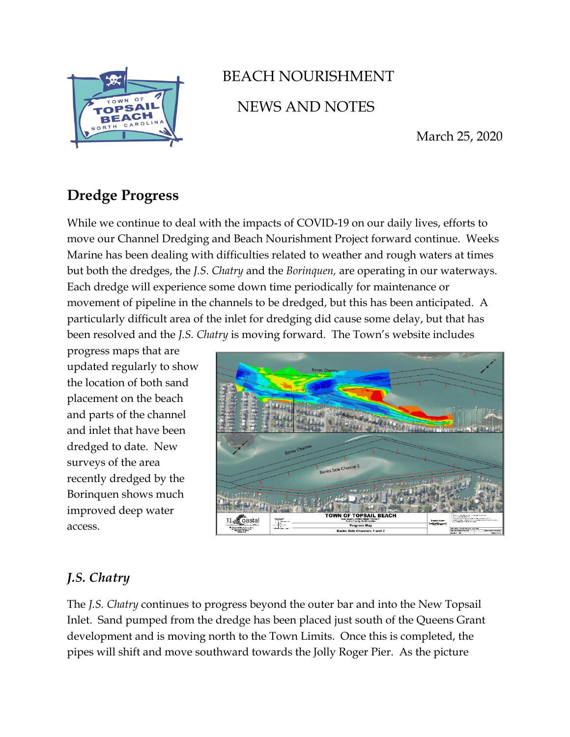

# BEACH NOURISHMENT NEWS AND NOTES

March 25, 2020

## **Dredge Progress**

While we continue to deal with the impacts of COVID-19 on our daily lives, efforts to move our Channel Dredging and Beach Nourishment Project forward continue. Weeks Marine has been dealing with difficulties related to weather and rough waters at times but both the dredges, the *J.S. Chatry* and the *Borinquen,* are operating in our waterways. Each dredge will experience some down time periodically for maintenance or movement of pipeline in the channels to be dredged, but this has been anticipated. A particularly difficult area of the inlet for dredging did cause some delay, but that has been resolved and the *J.S. Chatry* is moving forward. The Town's website includes

progress maps that are updated regularly to show the location of both sand placement on the beach and parts of the channel and inlet that have been dredged to date. New surveys of the area recently dredged by the Borinquen shows much improved deep water access.



### *J.S. Chatry*

The *J.S. Chatry* continues to progress beyond the outer bar and into the New Topsail Inlet. Sand pumped from the dredge has been placed just south of the Queens Grant development and is moving north to the Town Limits. Once this is completed, the pipes will shift and move southward towards the Jolly Roger Pier. As the picture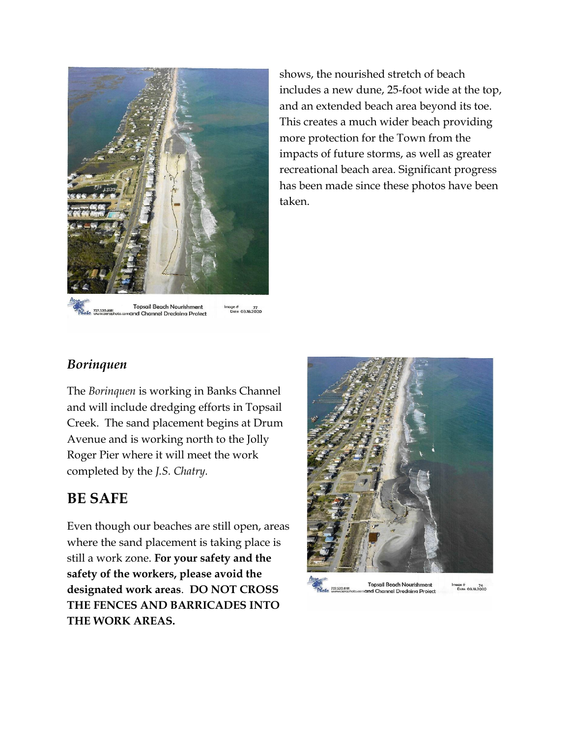

and Channel Dredging Project

shows, the nourished stretch of beach includes a new dune, 25-foot wide at the top, and an extended beach area beyond its toe. This creates a much wider beach providing more protection for the Town from the impacts of future storms, as well as greater recreational beach area. Significant progress has been made since these photos have been taken.

#### *Borinquen*

The *Borinquen* is working in Banks Channel and will include dredging efforts in Topsail Creek. The sand placement begins at Drum Avenue and is working north to the Jolly Roger Pier where it will meet the work completed by the *J.S. Chatry.* 

#### **BE SAFE**

Even though our beaches are still open, areas where the sand placement is taking place is still a work zone. **For your safety and the safety of the workers, please avoid the designated work areas**. **DO NOT CROSS THE FENCES AND BARRICADES INTO THE WORK AREAS.**